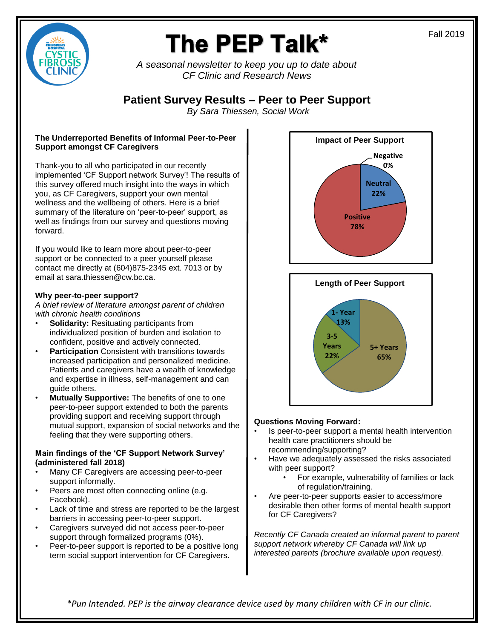

# The PEP Talk\*

*A seasonal newsletter to keep you up to date about CF Clinic and Research News* 

### **Patient Survey Results – Peer to Peer Support**

*By Sara Thiessen, Social Work*

#### **The Underreported Benefits of Informal Peer-to-Peer Support amongst CF Caregivers**

Thank-you to all who participated in our recently implemented 'CF Support network Survey'! The results of this survey offered much insight into the ways in which you, as CF Caregivers, support your own mental wellness and the wellbeing of others. Here is a brief summary of the literature on 'peer-to-peer' support, as well as findings from our survey and questions moving forward.

If you would like to learn more about peer-to-peer support or be connected to a peer yourself please contact me directly at (604)875-2345 ext. 7013 or by email at sara.thiessen@cw.bc.ca.

#### **Why peer-to-peer support?**

*A brief review of literature amongst parent of children with chronic health conditions*

- **Solidarity:** Resituating participants from individualized position of burden and isolation to confident, positive and actively connected.
- **Participation** Consistent with transitions towards increased participation and personalized medicine. Patients and caregivers have a wealth of knowledge and expertise in illness, self-management and can guide others.
- **Mutually Supportive:** The benefits of one to one peer-to-peer support extended to both the parents providing support and receiving support through mutual support, expansion of social networks and the feeling that they were supporting others.

#### **Main findings of the 'CF Support Network Survey' (administered fall 2018)**

- Many CF Caregivers are accessing peer-to-peer support informally.
- Peers are most often connecting online (e.g. Facebook).
- Lack of time and stress are reported to be the largest barriers in accessing peer-to-peer support.
- Caregivers surveyed did not access peer-to-peer support through formalized programs (0%).
- Peer-to-peer support is reported to be a positive long term social support intervention for CF Caregivers.



#### **Questions Moving Forward:**

- Is peer-to-peer support a mental health intervention health care practitioners should be recommending/supporting?
- Have we adequately assessed the risks associated with peer support?
	- For example, vulnerability of families or lack of regulation/training.
- Are peer-to-peer supports easier to access/more desirable then other forms of mental health support for CF Caregivers?

*Recently CF Canada created an informal parent to parent support network whereby CF Canada will link up interested parents (brochure available upon request).*

*\*Pun Intended. PEP is the airway clearance device used by many children with CF in our clinic.*